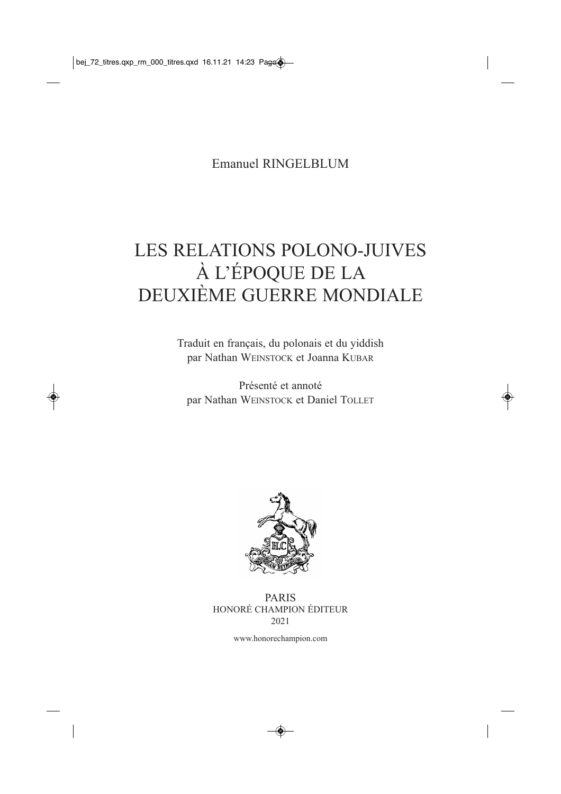Emanuel RINGELBLUM

## LES RELATIONS POLONO-JUIVES À L'ÉPOQUE DE LA DEUXIÈME GUERRE MONDIALE

Traduit en français, du polonais et du yiddish par Nathan WEINSTOCK et Joanna KUBAR

Présenté et annoté par Nathan WEINSTOCK et Daniel TOLLET



PARIS HONORÉ CHAMPION ÉDITEUR 2021

www.honorechampion.com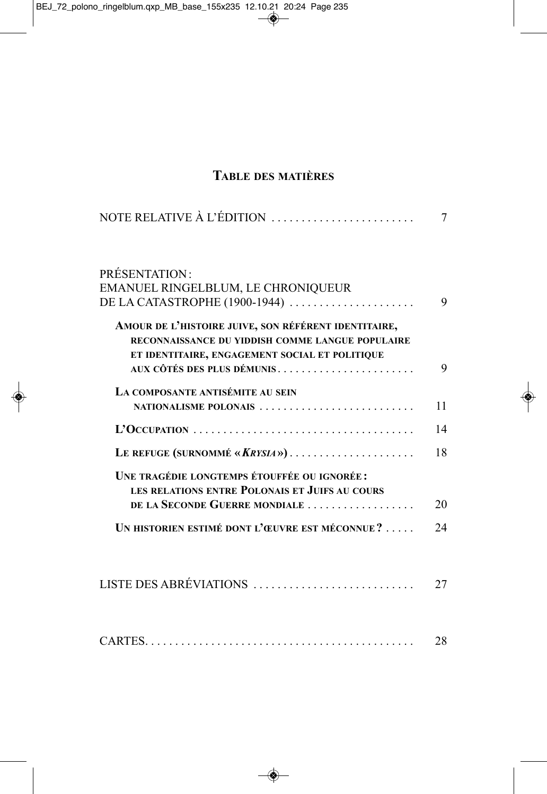## **TABLE DES MATIÈRES**

| NOTE RELATIVE À L'ÉDITION                                                                                                                                                                | 7  |
|------------------------------------------------------------------------------------------------------------------------------------------------------------------------------------------|----|
| <b>PRÉSENTATION:</b>                                                                                                                                                                     |    |
| EMANUEL RINGELBLUM, LE CHRONIQUEUR                                                                                                                                                       |    |
| DE LA CATASTROPHE (1900-1944)                                                                                                                                                            | 9  |
| AMOUR DE L'HISTOIRE JUIVE, SON RÉFÉRENT IDENTITAIRE,<br>RECONNAISSANCE DU YIDDISH COMME LANGUE POPULAIRE<br>ET IDENTITAIRE, ENGAGEMENT SOCIAL ET POLITIQUE<br>AUX CÔTÉS DES PLUS DÉMUNIS | 9  |
| LA COMPOSANTE ANTISÉMITE AU SEIN                                                                                                                                                         |    |
| NATIONALISME POLONAIS                                                                                                                                                                    | 11 |
|                                                                                                                                                                                          | 14 |
| LE REFUGE (SURNOMMÉ «KRYSIA»)                                                                                                                                                            | 18 |
| UNE TRAGÉDIE LONGTEMPS ÉTOUFFÉE OU IGNORÉE :<br>LES RELATIONS ENTRE POLONAIS ET JUIFS AU COURS<br>DE LA SECONDE GUERRE MONDIALE                                                          | 20 |
| UN HISTORIEN ESTIMÉ DONT L'ŒUVRE EST MÉCONNUE?                                                                                                                                           | 24 |
| LISTE DES ABRÉVIATIONS                                                                                                                                                                   | 27 |
|                                                                                                                                                                                          | 28 |